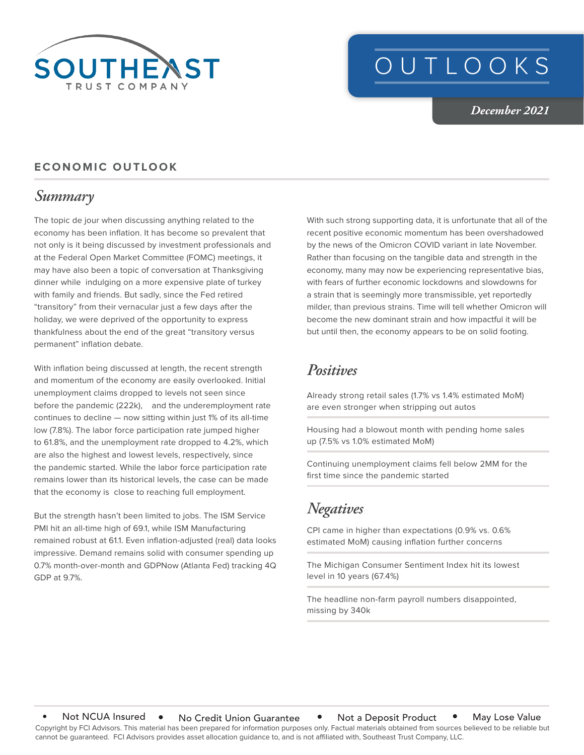

# OUTLOOKS

*December 2021*

#### **ECONOMIC OUTLOOK**

### *Summary*

The topic de jour when discussing anything related to the economy has been inflation. It has become so prevalent that not only is it being discussed by investment professionals and at the Federal Open Market Committee (FOMC) meetings, it may have also been a topic of conversation at Thanksgiving dinner while indulging on a more expensive plate of turkey with family and friends. But sadly, since the Fed retired "transitory" from their vernacular just a few days after the holiday, we were deprived of the opportunity to express thankfulness about the end of the great "transitory versus permanent" inflation debate.

With inflation being discussed at length, the recent strength and momentum of the economy are easily overlooked. Initial unemployment claims dropped to levels not seen since before the pandemic (222k), and the underemployment rate continues to decline — now sitting within just 1% of its all-time low (7.8%). The labor force participation rate jumped higher to 61.8%, and the unemployment rate dropped to 4.2%, which are also the highest and lowest levels, respectively, since the pandemic started. While the labor force participation rate remains lower than its historical levels, the case can be made that the economy is close to reaching full employment.

But the strength hasn't been limited to jobs. The ISM Service PMI hit an all-time high of 69.1, while ISM Manufacturing remained robust at 61.1. Even inflation-adjusted (real) data looks impressive. Demand remains solid with consumer spending up 0.7% month-over-month and GDPNow (Atlanta Fed) tracking 4Q GDP at 9.7%.

With such strong supporting data, it is unfortunate that all of the recent positive economic momentum has been overshadowed by the news of the Omicron COVID variant in late November. Rather than focusing on the tangible data and strength in the economy, many may now be experiencing representative bias, with fears of further economic lockdowns and slowdowns for a strain that is seemingly more transmissible, yet reportedly milder, than previous strains. Time will tell whether Omicron will become the new dominant strain and how impactful it will be but until then, the economy appears to be on solid footing.

#### *Positives*

Already strong retail sales (1.7% vs 1.4% estimated MoM) are even stronger when stripping out autos

Housing had a blowout month with pending home sales up (7.5% vs 1.0% estimated MoM)

Continuing unemployment claims fell below 2MM for the first time since the pandemic started

## *Negatives*

CPI came in higher than expectations (0.9% vs. 0.6% estimated MoM) causing inflation further concerns

The Michigan Consumer Sentiment Index hit its lowest level in 10 years (67.4%)

The headline non-farm payroll numbers disappointed, missing by 340k

Copyright by FCI Advisors. This material has been prepared for information purposes only. Factual materials obtained from sources believed to be reliable but cannot be guaranteed. FCI Advisors provides asset allocation guidance to, and is not affiliated with, Southeast Trust Company, LLC. Not NCUA Insured • No Credit Union Guarantee • Not a Deposit Product • May Lose Value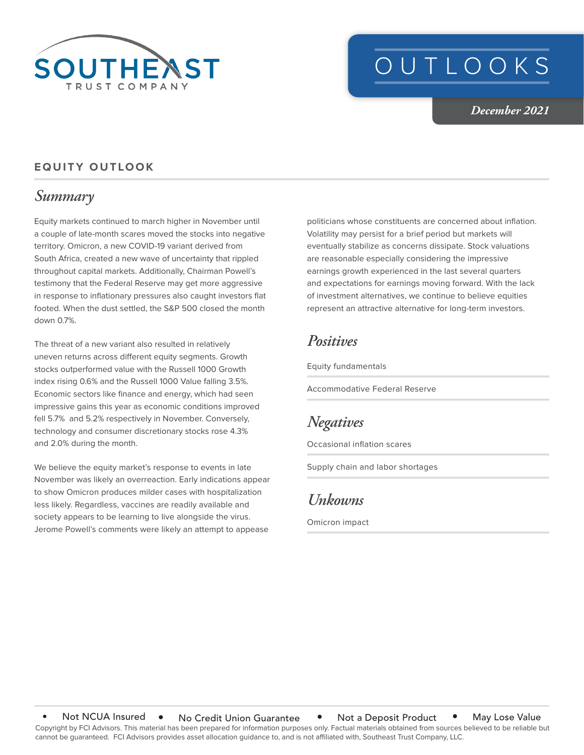

# OUTLOOKS

*December 2021*

#### **EQUITY OUTLOOK**

### *Summary*

Equity markets continued to march higher in November until a couple of late-month scares moved the stocks into negative territory. Omicron, a new COVID-19 variant derived from South Africa, created a new wave of uncertainty that rippled throughout capital markets. Additionally, Chairman Powell's testimony that the Federal Reserve may get more aggressive in response to inflationary pressures also caught investors flat footed. When the dust settled, the S&P 500 closed the month down 0.7%.

The threat of a new variant also resulted in relatively uneven returns across different equity segments. Growth stocks outperformed value with the Russell 1000 Growth index rising 0.6% and the Russell 1000 Value falling 3.5%. Economic sectors like finance and energy, which had seen impressive gains this year as economic conditions improved fell 5.7% and 5.2% respectively in November. Conversely, technology and consumer discretionary stocks rose 4.3% and 2.0% during the month.

We believe the equity market's response to events in late November was likely an overreaction. Early indications appear to show Omicron produces milder cases with hospitalization less likely. Regardless, vaccines are readily available and society appears to be learning to live alongside the virus. Jerome Powell's comments were likely an attempt to appease

politicians whose constituents are concerned about inflation. Volatility may persist for a brief period but markets will eventually stabilize as concerns dissipate. Stock valuations are reasonable especially considering the impressive earnings growth experienced in the last several quarters and expectations for earnings moving forward. With the lack of investment alternatives, we continue to believe equities represent an attractive alternative for long-term investors.

#### *Positives*

Equity fundamentals

Accommodative Federal Reserve

### *Negatives*

Occasional inflation scares

Supply chain and labor shortages

#### *Unkowns*

Omicron impact

Copyright by FCI Advisors. This material has been prepared for information purposes only. Factual materials obtained from sources believed to be reliable but cannot be guaranteed. FCI Advisors provides asset allocation guidance to, and is not affiliated with, Southeast Trust Company, LLC. Not NCUA Insured • No Credit Union Guarantee • Not a Deposit Product • May Lose Value